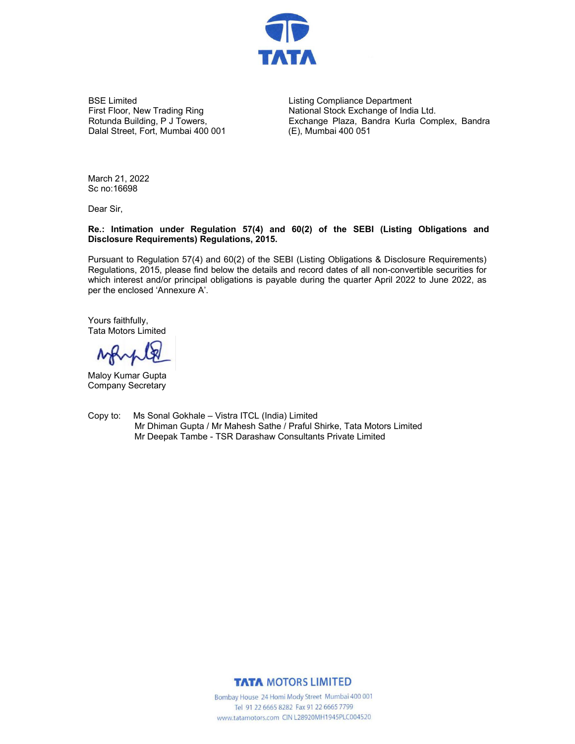

BSE Limited First Floor, New Trading Ring Rotunda Building, P J Towers, Dalal Street, Fort, Mumbai 400 001 Listing Compliance Department National Stock Exchange of India Ltd. Exchange Plaza, Bandra Kurla Complex, Bandra (E), Mumbai 400 051

March 21, 2022 Sc no:16698

Dear Sir,

## **Re.: Intimation under Regulation 57(4) and 60(2) of the SEBI (Listing Obligations and Disclosure Requirements) Regulations, 2015.**

Pursuant to Regulation 57(4) and 60(2) of the SEBI (Listing Obligations & Disclosure Requirements) Regulations, 2015, please find below the details and record dates of all non-convertible securities for which interest and/or principal obligations is payable during the quarter April 2022 to June 2022, as per the enclosed 'Annexure A'.

Yours faithfully, Tata Motors Limited

NAM

Maloy Kumar Gupta Company Secretary

Copy to: Ms Sonal Gokhale – Vistra ITCL (India) Limited Mr Dhiman Gupta / Mr Mahesh Sathe / Praful Shirke, Tata Motors Limited Mr Deepak Tambe - TSR Darashaw Consultants Private Limited

**TATA MOTORS LIMITED** 

Bombay House 24 Homi Mody Street Mumbai 400 001 Tel 91 22 6665 8282 Fax 91 22 6665 7799 www.tatamotors.com CIN L28920MH1945PLC004520